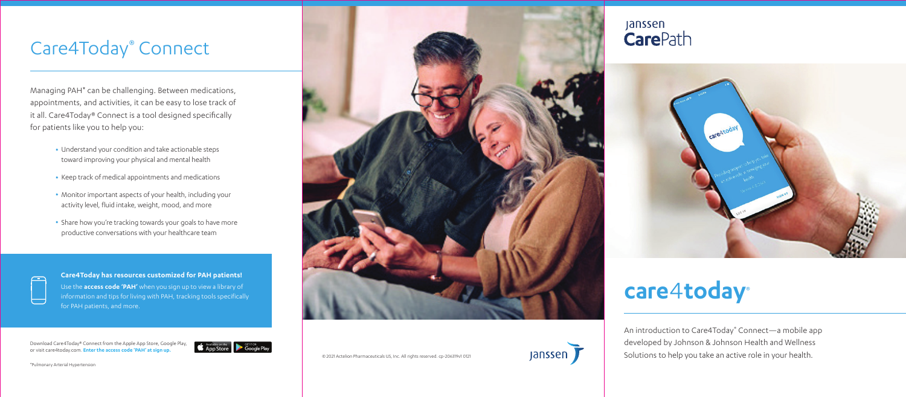An introduction to Care4Today® Connect—a mobile app developed by Johnson & Johnson Health and Wellness Solutions to help you take an active role in your health.



- Understand your condition and take actionable steps toward improving your physical and mental health
- Keep track of medical appointments and medications
- Monitor important aspects of your health, including your activity level, fluid intake, weight, mood, and more
- Share how you're tracking towards your goals to have more productive conversations with your healthcare team



Managing PAH\* can be challenging. Between medications, appointments, and activities, it can be easy to lose track of it all. Care4Today® Connect is a tool designed specifically for patients like you to help you:

# Care4Today® Connect

**Care4Today has resources customized for PAH patients!** Use the **access code 'PAH'** when you sign up to view a library of information and tips for living with PAH, tracking tools specifically for PAH patients, and more.

© 2021 Actelion Pharmaceuticals US, Inc. All rights reserved. cp-206319v1 0121



Download Care4Today® Connect from the Apple App Store, Google Play, or visit care4today.com. **Enter the access code 'PAH' at sign up.**



\*Pulmonary Arterial Hypertension